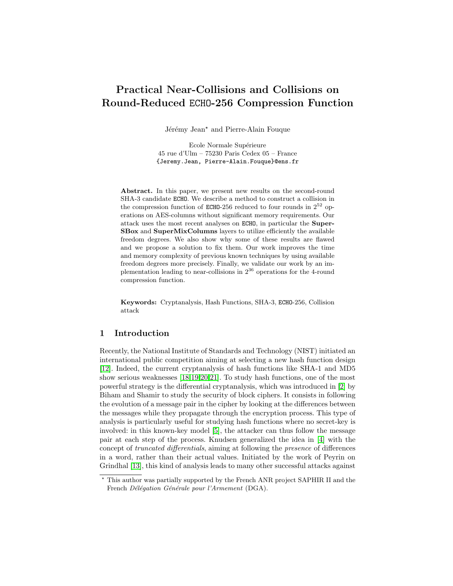# Practical Near-Collisions and Collisions on Round-Reduced ECHO-256 Compression Function

Jérémy Jean<sup>\*</sup> and Pierre-Alain Fouque

Ecole Normale Supérieure 45 rue d'Ulm – 75230 Paris Cedex 05 – France {Jeremy.Jean, Pierre-Alain.Fouque}@ens.fr

Abstract. In this paper, we present new results on the second-round SHA-3 candidate ECHO. We describe a method to construct a collision in the compression function of ECHO-256 reduced to four rounds in  $2^{52}$  operations on AES-columns without significant memory requirements. Our attack uses the most recent analyses on ECHO, in particular the Super-SBox and SuperMixColumns layers to utilize efficiently the available freedom degrees. We also show why some of these results are flawed and we propose a solution to fix them. Our work improves the time and memory complexity of previous known techniques by using available freedom degrees more precisely. Finally, we validate our work by an implementation leading to near-collisions in  $2^{36}$  operations for the 4-round compression function.

Keywords: Cryptanalysis, Hash Functions, SHA-3, ECHO-256, Collision attack

## <span id="page-0-0"></span>1 Introduction

Recently, the National Institute of Standards and Technology (NIST) initiated an international public competition aiming at selecting a new hash function design [\[12\]](#page-19-0). Indeed, the current cryptanalysis of hash functions like SHA-1 and MD5 show serious weaknesses [\[18,](#page-20-0)[19](#page-20-1)[,20,](#page-20-2)[21\]](#page-20-3). To study hash functions, one of the most powerful strategy is the differential cryptanalysis, which was introduced in [\[2\]](#page-19-1) by Biham and Shamir to study the security of block ciphers. It consists in following the evolution of a message pair in the cipher by looking at the differences between the messages while they propagate through the encryption process. This type of analysis is particularly useful for studying hash functions where no secret-key is involved: in this known-key model [\[5\]](#page-19-2), the attacker can thus follow the message pair at each step of the process. Knudsen generalized the idea in [\[4\]](#page-19-3) with the concept of truncated differentials, aiming at following the presence of differences in a word, rather than their actual values. Initiated by the work of Peyrin on Grindhal [\[13\]](#page-19-4), this kind of analysis leads to many other successful attacks against

<sup>?</sup> This author was partially supported by the French ANR project SAPHIR II and the French Délégation Générale pour l'Armement (DGA).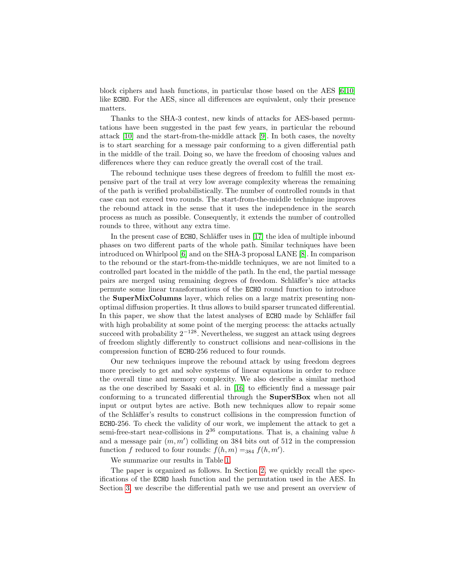block ciphers and hash functions, in particular those based on the AES  $[6,10]$  $[6,10]$ like ECHO. For the AES, since all differences are equivalent, only their presence matters.

Thanks to the SHA-3 contest, new kinds of attacks for AES-based permutations have been suggested in the past few years, in particular the rebound attack [\[10\]](#page-19-6) and the start-from-the-middle attack [\[9\]](#page-19-7). In both cases, the novelty is to start searching for a message pair conforming to a given differential path in the middle of the trail. Doing so, we have the freedom of choosing values and differences where they can reduce greatly the overall cost of the trail.

The rebound technique uses these degrees of freedom to fulfill the most expensive part of the trail at very low average complexity whereas the remaining of the path is verified probabilistically. The number of controlled rounds in that case can not exceed two rounds. The start-from-the-middle technique improves the rebound attack in the sense that it uses the independence in the search process as much as possible. Consequently, it extends the number of controlled rounds to three, without any extra time.

In the present case of  $ECHO$ , Schläffer uses in [\[17\]](#page-19-8) the idea of multiple inbound phases on two different parts of the whole path. Similar techniques have been introduced on Whirlpool [\[6\]](#page-19-5) and on the SHA-3 proposal LANE [\[8\]](#page-19-9). In comparison to the rebound or the start-from-the-middle techniques, we are not limited to a controlled part located in the middle of the path. In the end, the partial message pairs are merged using remaining degrees of freedom. Schläffer's nice attacks permute some linear transformations of the ECHO round function to introduce the SuperMixColumns layer, which relies on a large matrix presenting nonoptimal diffusion properties. It thus allows to build sparser truncated differential. In this paper, we show that the latest analyses of ECHO made by Schläffer fail with high probability at some point of the merging process: the attacks actually succeed with probability  $2^{-128}$ . Nevertheless, we suggest an attack using degrees of freedom slightly differently to construct collisions and near-collisions in the compression function of ECHO-256 reduced to four rounds.

Our new techniques improve the rebound attack by using freedom degrees more precisely to get and solve systems of linear equations in order to reduce the overall time and memory complexity. We also describe a similar method as the one described by Sasaki et al. in [\[16\]](#page-19-10) to efficiently find a message pair conforming to a truncated differential through the SuperSBox when not all input or output bytes are active. Both new techniques allow to repair some of the Schläffer's results to construct collisions in the compression function of ECHO-256. To check the validity of our work, we implement the attack to get a semi-free-start near-collisions in  $2^{36}$  computations. That is, a chaining value h and a message pair  $(m, m')$  colliding on 384 bits out of 512 in the compression function f reduced to four rounds:  $f(h, m) =_{384} f(h, m').$ 

We summarize our results in Table [1.](#page-0-0)

The paper is organized as follows. In Section [2,](#page-2-0) we quickly recall the specifications of the ECHO hash function and the permutation used in the AES. In Section [3,](#page-4-0) we describe the differential path we use and present an overview of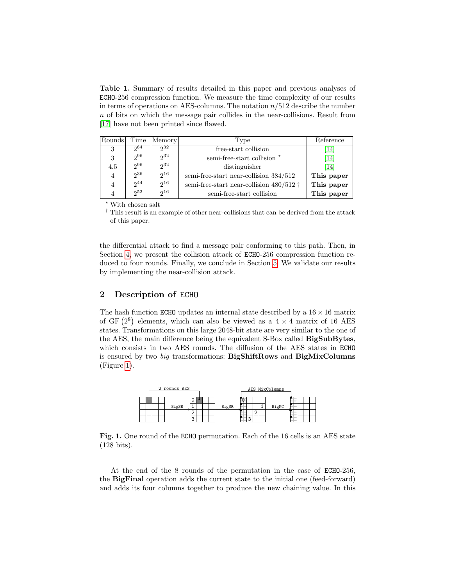Table 1. Summary of results detailed in this paper and previous analyses of ECHO-256 compression function. We measure the time complexity of our results in terms of operations on AES-columns. The notation  $n/512$  describe the number n of bits on which the message pair collides in the near-collisions. Result from [\[17\]](#page-19-8) have not been printed since flawed.

| Rounds         | Time     | Memory   | Type                                             | Reference  |
|----------------|----------|----------|--------------------------------------------------|------------|
| 3              | $2^{64}$ | $2^{32}$ | free-start collision                             | [14]       |
| 3              | $2^{96}$ | $2^{32}$ | semi-free-start collision *                      | [14]       |
| 4.5            | $2^{96}$ | $2^{32}$ | distinguisher                                    | [14]       |
| 4              | $2^{36}$ | $2^{16}$ | semi-free-start near-collision $384/512\,$       | This paper |
| 4              | $2^{44}$ | $2^{16}$ | semi-free-start near-collision $480/512 \dagger$ | This paper |
| $\overline{4}$ | $2^{52}$ | $2^{16}$ | semi-free-start collision                        | This paper |

 $^\star$  With chosen salt

† This result is an example of other near-collisions that can be derived from the attack of this paper.

the differential attack to find a message pair conforming to this path. Then, in Section [4,](#page-11-0) we present the collision attack of ECHO-256 compression function reduced to four rounds. Finally, we conclude in Section [5.](#page-18-0) We validate our results by implementing the near-collision attack.

## <span id="page-2-0"></span>2 Description of ECHO

The hash function ECHO updates an internal state described by a  $16 \times 16$  matrix of GF  $(2^8)$  elements, which can also be viewed as a  $4 \times 4$  matrix of 16 AES states. Transformations on this large 2048-bit state are very similar to the one of the AES, the main difference being the equivalent S-Box called BigSubBytes, which consists in two AES rounds. The diffusion of the AES states in ECHO is ensured by two big transformations: BigShiftRows and BigMixColumns (Figure [1\)](#page-2-1).



<span id="page-2-1"></span>Fig. 1. One round of the ECHO permutation. Each of the 16 cells is an AES state (128 bits).

At the end of the 8 rounds of the permutation in the case of ECHO-256, the BigFinal operation adds the current state to the initial one (feed-forward) and adds its four columns together to produce the new chaining value. In this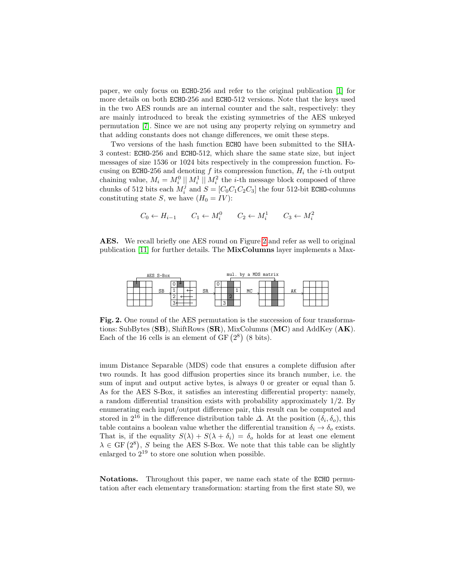paper, we only focus on ECHO-256 and refer to the original publication [\[1\]](#page-18-1) for more details on both ECHO-256 and ECHO-512 versions. Note that the keys used in the two AES rounds are an internal counter and the salt, respectively: they are mainly introduced to break the existing symmetries of the AES unkeyed permutation [\[7\]](#page-19-12). Since we are not using any property relying on symmetry and that adding constants does not change differences, we omit these steps.

Two versions of the hash function ECHO have been submitted to the SHA-3 contest: ECHO-256 and ECHO-512, which share the same state size, but inject messages of size 1536 or 1024 bits respectively in the compression function. Focusing on ECHO-256 and denoting f its compression function,  $H_i$  the *i*-th output chaining value,  $M_i = M_i^0 \parallel M_i^1 \parallel M_i^2$  the *i*-th message block composed of three chunks of 512 bits each  $M_i^j$  and  $S = [C_0 C_1 C_2 C_3]$  the four 512-bit ECHO-columns constituting state S, we have  $(H_0 = IV)$ :

$$
C_0 \leftarrow H_{i-1}
$$
  $C_1 \leftarrow M_i^0$   $C_2 \leftarrow M_i^1$   $C_3 \leftarrow M_i^2$ 

AES. We recall briefly one AES round on Figure [2](#page-3-0) and refer as well to original publication [\[11\]](#page-19-13) for further details. The MixColumns layer implements a Max-



<span id="page-3-0"></span>Fig. 2. One round of the AES permutation is the succession of four transformations: SubBytes (SB), ShiftRows (SR), MixColumns (MC) and AddKey (AK). Each of the 16 cells is an element of  $GF(2^8)$  (8 bits).

imum Distance Separable (MDS) code that ensures a complete diffusion after two rounds. It has good diffusion properties since its branch number, i.e. the sum of input and output active bytes, is always 0 or greater or equal than 5. As for the AES S-Box, it satisfies an interesting differential property: namely, a random differential transition exists with probability approximately 1/2. By enumerating each input/output difference pair, this result can be computed and stored in  $2^{16}$  in the difference distribution table  $\Delta$ . At the position  $(\delta_i, \delta_o)$ , this table contains a boolean value whether the differential transition  $\delta_i \to \delta_o$  exists. That is, if the equality  $S(\lambda) + S(\lambda + \delta_i) = \delta_o$  holds for at least one element  $\lambda \in \text{GF}(2^8)$ , S being the AES S-Box. We note that this table can be slightly enlarged to  $2^{19}$  to store one solution when possible.

Notations. Throughout this paper, we name each state of the ECHO permutation after each elementary transformation: starting from the first state S0, we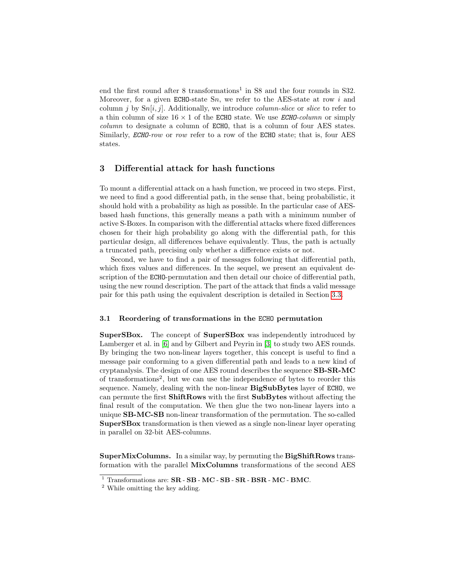end the first round after 8 transformations<sup>1</sup> in S8 and the four rounds in S32. Moreover, for a given ECHO-state  $Sn$ , we refer to the AES-state at row i and column j by  $Sn[i, j]$ . Additionally, we introduce *column-slice* or *slice* to refer to a thin column of size  $16 \times 1$  of the ECHO state. We use *ECHO-column* or simply column to designate a column of ECHO, that is a column of four AES states. Similarly, *ECHO-row* or *row* refer to a row of the ECHO state; that is, four AES states.

# <span id="page-4-0"></span>3 Differential attack for hash functions

To mount a differential attack on a hash function, we proceed in two steps. First, we need to find a good differential path, in the sense that, being probabilistic, it should hold with a probability as high as possible. In the particular case of AESbased hash functions, this generally means a path with a minimum number of active S-Boxes. In comparison with the differential attacks where fixed differences chosen for their high probability go along with the differential path, for this particular design, all differences behave equivalently. Thus, the path is actually a truncated path, precising only whether a difference exists or not.

Second, we have to find a pair of messages following that differential path, which fixes values and differences. In the sequel, we present an equivalent description of the ECHO-permutation and then detail our choice of differential path, using the new round description. The part of the attack that finds a valid message pair for this path using the equivalent description is detailed in Section [3.3.](#page-6-0)

#### 3.1 Reordering of transformations in the ECHO permutation

SuperSBox. The concept of SuperSBox was independently introduced by Lamberger et al. in [\[6\]](#page-19-5) and by Gilbert and Peyrin in [\[3\]](#page-19-14) to study two AES rounds. By bringing the two non-linear layers together, this concept is useful to find a message pair conforming to a given differential path and leads to a new kind of cryptanalysis. The design of one AES round describes the sequence SB-SR-MC of transformations<sup>2</sup> , but we can use the independence of bytes to reorder this sequence. Namely, dealing with the non-linear BigSubBytes layer of ECHO, we can permute the first ShiftRows with the first SubBytes without affecting the final result of the computation. We then glue the two non-linear layers into a unique SB-MC-SB non-linear transformation of the permutation. The so-called SuperSBox transformation is then viewed as a single non-linear layer operating in parallel on 32-bit AES-columns.

<span id="page-4-1"></span>SuperMixColumns. In a similar way, by permuting the BigShiftRows transformation with the parallel MixColumns transformations of the second AES

 $1$  Transformations are:  $SR$  -  $SB$  -  $MC$  -  $SB$  -  $SR$  -  $BSR$  -  $MC$  -  $BMC$ .

<sup>2</sup> While omitting the key adding.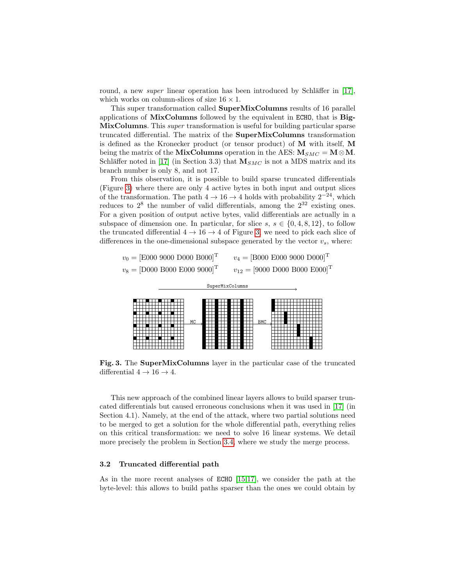round, a new *super* linear operation has been introduced by Schläffer in  $\lfloor 17 \rfloor$ , which works on column-slices of size  $16 \times 1$ .

This super transformation called SuperMixColumns results of 16 parallel applications of MixColumns followed by the equivalent in ECHO, that is Big-MixColumns. This super transformation is useful for building particular sparse truncated differential. The matrix of the SuperMixColumns transformation is defined as the Kronecker product (or tensor product) of M with itself, M being the matrix of the MixColumns operation in the AES:  $M_{SMC} = M \otimes M$ . Schläffer noted in [\[17\]](#page-19-8) (in Section 3.3) that  $M_{SMC}$  is not a MDS matrix and its branch number is only 8, and not 17.

From this observation, it is possible to build sparse truncated differentials (Figure [3\)](#page-5-0) where there are only 4 active bytes in both input and output slices of the transformation. The path  $4 \rightarrow 16 \rightarrow 4$  holds with probability  $2^{-24}$ , which reduces to  $2^8$  the number of valid differentials, among the  $2^{32}$  existing ones. For a given position of output active bytes, valid differentials are actually in a subspace of dimension one. In particular, for slice  $s, s \in \{0, 4, 8, 12\}$ , to follow the truncated differential  $4 \rightarrow 16 \rightarrow 4$  of Figure [3,](#page-5-0) we need to pick each slice of differences in the one-dimensional subspace generated by the vector  $v_s$ , where:

| $v_0 =$ [E000 9000 D000 B000] <sup>T</sup> | $v_4 = [B000 \ E000 \ 9000 \ D000]^T$                               |
|--------------------------------------------|---------------------------------------------------------------------|
| $v_8 =$ [D000 B000 E000 9000] <sup>T</sup> | $v_{12} = [9000 \text{ D}000 \text{ B}000 \text{ E}000]^{\text{T}}$ |



<span id="page-5-0"></span>Fig. 3. The SuperMixColumns layer in the particular case of the truncated differential  $4 \rightarrow 16 \rightarrow 4$ .

This new approach of the combined linear layers allows to build sparser truncated differentials but caused erroneous conclusions when it was used in [\[17\]](#page-19-8) (in Section 4.1). Namely, at the end of the attack, where two partial solutions need to be merged to get a solution for the whole differential path, everything relies on this critical transformation: we need to solve 16 linear systems. We detail more precisely the problem in Section [3.4,](#page-8-0) where we study the merge process.

#### 3.2 Truncated differential path

As in the more recent analyses of ECHO [\[15](#page-19-15)[,17\]](#page-19-8), we consider the path at the byte-level: this allows to build paths sparser than the ones we could obtain by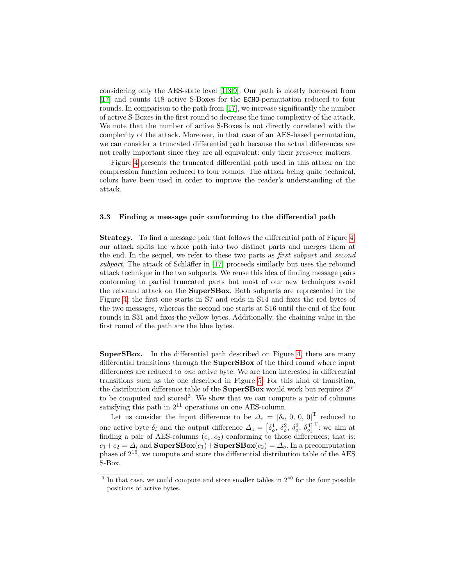considering only the AES-state level [\[1,](#page-18-1)[3,](#page-19-14)[9\]](#page-19-7). Our path is mostly borrowed from [\[17\]](#page-19-8) and counts 418 active S-Boxes for the ECHO-permutation reduced to four rounds. In comparison to the path from [\[17\]](#page-19-8), we increase significantly the number of active S-Boxes in the first round to decrease the time complexity of the attack. We note that the number of active S-Boxes is not directly correlated with the complexity of the attack. Moreover, in that case of an AES-based permutation, we can consider a truncated differential path because the actual differences are not really important since they are all equivalent: only their *presence* matters.

Figure [4](#page-7-0) presents the truncated differential path used in this attack on the compression function reduced to four rounds. The attack being quite technical, colors have been used in order to improve the reader's understanding of the attack.

#### <span id="page-6-0"></span>3.3 Finding a message pair conforming to the differential path

Strategy. To find a message pair that follows the differential path of Figure [4,](#page-7-0) our attack splits the whole path into two distinct parts and merges them at the end. In the sequel, we refer to these two parts as *first subpart* and *second* subpart. The attack of Schläffer in  $[17]$  proceeds similarly but uses the rebound attack technique in the two subparts. We reuse this idea of finding message pairs conforming to partial truncated parts but most of our new techniques avoid the rebound attack on the SuperSBox. Both subparts are represented in the Figure [4:](#page-7-0) the first one starts in S7 and ends in S14 and fixes the red bytes of the two messages, whereas the second one starts at S16 until the end of the four rounds in S31 and fixes the yellow bytes. Additionally, the chaining value in the first round of the path are the blue bytes.

<span id="page-6-1"></span>SuperSBox. In the differential path described on Figure [4,](#page-7-0) there are many differential transitions through the SuperSBox of the third round where input differences are reduced to one active byte. We are then interested in differential transitions such as the one described in Figure [5.](#page-8-1) For this kind of transition, the distribution difference table of the **SuperSBox** would work but requires  $2^{64}$ to be computed and stored<sup>3</sup>. We show that we can compute a pair of columns satisfying this path in  $2^{11}$  operations on one AES-column.

Let us consider the input difference to be  $\Delta_i = [\delta_i, 0, 0, 0]^T$  reduced to one active byte  $\delta_i$  and the output difference  $\Delta_o = \left[\delta_o^1, \delta_o^2, \delta_o^3, \delta_o^4\right]^T$ : we aim at finding a pair of AES-columns  $(c_1, c_2)$  conforming to those differences; that is:  $c_1+c_2 = \Delta_i$  and  $\textbf{SuperSBox}(c_1)+\textbf{SuperSBox}(c_2) = \Delta_o$ . In a precomputation phase of  $2^{16}$ , we compute and store the differential distribution table of the AES S-Box.

 $3$  In that case, we could compute and store smaller tables in  $2^{40}$  for the four possible positions of active bytes.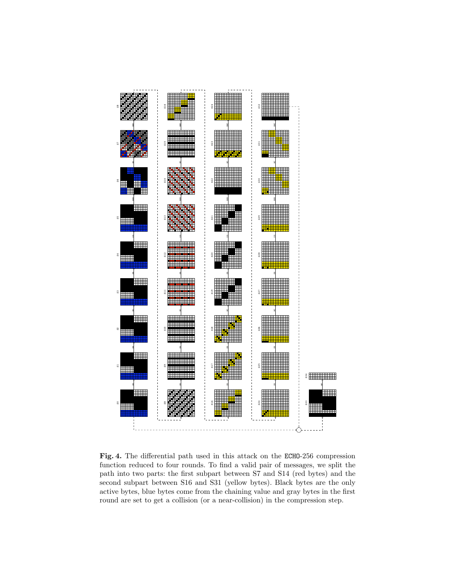

<span id="page-7-0"></span>Fig. 4. The differential path used in this attack on the ECHO-256 compression function reduced to four rounds. To find a valid pair of messages, we split the path into two parts: the first subpart between S7 and S14 (red bytes) and the second subpart between S16 and S31 (yellow bytes). Black bytes are the only active bytes, blue bytes come from the chaining value and gray bytes in the first round are set to get a collision (or a near-collision) in the compression step.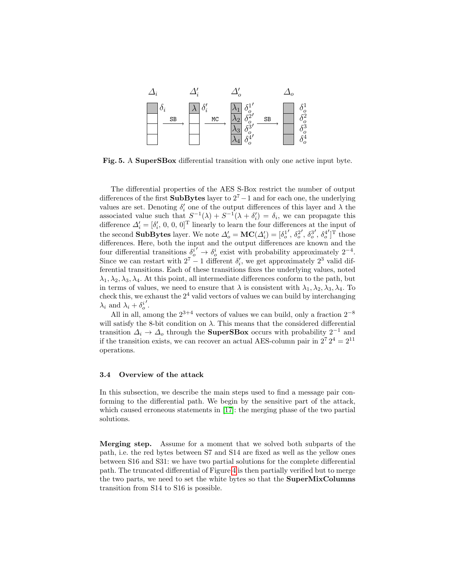

<span id="page-8-1"></span>Fig. 5. A SuperSBox differential transition with only one active input byte.

The differential properties of the AES S-Box restrict the number of output differences of the first **SubBytes** layer to  $2^7 - 1$  and for each one, the underlying values are set. Denoting  $\delta_i'$  one of the output differences of this layer and  $\lambda$  the associated value such that  $S^{-1}(\lambda) + S^{-1}(\lambda + \delta'_i) = \delta_i$ , we can propagate this difference  $\Delta_i' = [\delta_i', 0, 0, 0]^T$  linearly to learn the four differences at the input of the second **SubBytes** layer. We note  $\Delta'_{o} = \textbf{MC}(\Delta'_{i}) = [\delta]_{o}$  $\prime$ ,  $\delta_o^2$  $', \delta_o^3$  $', \delta_o^4$  $\int_{0}^{T}$  those differences. Here, both the input and the output differences are known and the four differential transitions  $\delta_i^{i'} \to \delta_{\rho}^i$  exist with probability approximately 2<sup>-4</sup>. Since we can restart with  $2^7 - 1$  different  $\delta_i$ , we get approximately  $2^3$  valid differential transitions. Each of these transitions fixes the underlying values, noted  $\lambda_1, \lambda_2, \lambda_3, \lambda_4$ . At this point, all intermediate differences conform to the path, but in terms of values, we need to ensure that  $\lambda$  is consistent with  $\lambda_1, \lambda_2, \lambda_3, \lambda_4$ . To check this, we exhaust the  $2<sup>4</sup>$  valid vectors of values we can build by interchanging  $\lambda_i$  and  $\lambda_i + \delta_o^i$  $\frac{1}{2}$ 

All in all, among the  $2^{3+4}$  vectors of values we can build, only a fraction  $2^{-8}$ will satisfy the 8-bit condition on  $\lambda$ . This means that the considered differential transition  $\Delta_i \to \Delta_o$  through the **SuperSBox** occurs with probability 2<sup>-1</sup> and if the transition exists, we can recover an actual AES-column pair in  $2^7 2^4 = 2^{11}$ operations.

#### <span id="page-8-0"></span>3.4 Overview of the attack

In this subsection, we describe the main steps used to find a message pair conforming to the differential path. We begin by the sensitive part of the attack, which caused erroneous statements in [\[17\]](#page-19-8): the merging phase of the two partial solutions.

Merging step. Assume for a moment that we solved both subparts of the path, i.e. the red bytes between S7 and S14 are fixed as well as the yellow ones between S16 and S31: we have two partial solutions for the complete differential path. The truncated differential of Figure [4](#page-7-0) is then partially verified but to merge the two parts, we need to set the white bytes so that the SuperMixColumns transition from S14 to S16 is possible.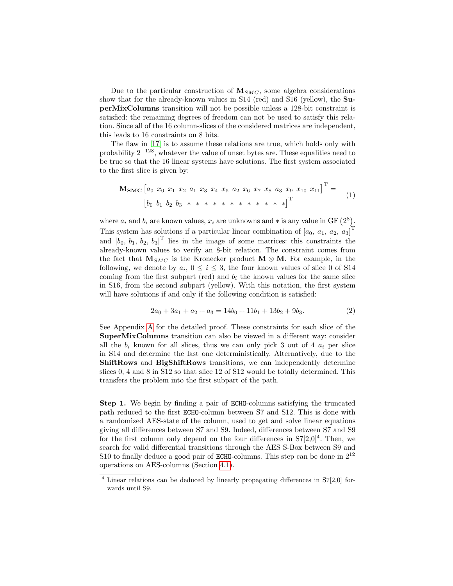Due to the particular construction of  $M_{SMC}$ , some algebra considerations show that for the already-known values in S14 (red) and S16 (yellow), the SuperMixColumns transition will not be possible unless a 128-bit constraint is satisfied: the remaining degrees of freedom can not be used to satisfy this relation. Since all of the 16 column-slices of the considered matrices are independent, this leads to 16 constraints on 8 bits.

The flaw in [\[17\]](#page-19-8) is to assume these relations are true, which holds only with probability  $2^{-128}$ , whatever the value of unset bytes are. These equalities need to be true so that the 16 linear systems have solutions. The first system associated to the first slice is given by:

<span id="page-9-0"></span>
$$
\mathbf{M}_{\mathbf{SMC}} \begin{bmatrix} a_0 & x_0 & x_1 & x_2 & a_1 & x_3 & x_4 & x_5 & a_2 & x_6 & x_7 & x_8 & a_3 & x_9 & x_{10} & x_{11} \end{bmatrix}^{\mathrm{T}} = \begin{bmatrix} b_0 & b_1 & b_2 & b_3 & * & * & * & * & * & * & * & * & * & * & * \end{bmatrix}^{\mathrm{T}}
$$
 (1)

where  $a_i$  and  $b_i$  are known values,  $x_i$  are unknowns and  $*$  is any value in GF  $(2^8)$ . This system has solutions if a particular linear combination of  $[a_0, a_1, a_2, a_3]^T$ and  $[b_0, b_1, b_2, b_3]^T$  lies in the image of some matrices: this constraints the already-known values to verify an 8-bit relation. The constraint comes from the fact that  $M_{SMC}$  is the Kronecker product  $M \otimes M$ . For example, in the following, we denote by  $a_i$ ,  $0 \le i \le 3$ , the four known values of slice 0 of S14 coming from the first subpart (red) and  $b_i$  the known values for the same slice in S16, from the second subpart (yellow). With this notation, the first system will have solutions if and only if the following condition is satisfied:

$$
2a_0 + 3a_1 + a_2 + a_3 = 14b_0 + 11b_1 + 13b_2 + 9b_3.
$$
 (2)

See Appendix [A](#page-20-4) for the detailed proof. These constraints for each slice of the SuperMixColumns transition can also be viewed in a different way: consider all the  $b_i$  known for all slices, thus we can only pick 3 out of 4  $a_i$  per slice in S14 and determine the last one deterministically. Alternatively, due to the ShiftRows and BigShiftRows transitions, we can independently determine slices 0, 4 and 8 in S12 so that slice 12 of S12 would be totally determined. This transfers the problem into the first subpart of the path.

Step 1. We begin by finding a pair of ECHO-columns satisfying the truncated path reduced to the first ECHO-column between S7 and S12. This is done with a randomized AES-state of the column, used to get and solve linear equations giving all differences between S7 and S9. Indeed, differences between S7 and S9 for the first column only depend on the four differences in  $S7[2,0]^4$ . Then, we search for valid differential transitions through the AES S-Box between S9 and S10 to finally deduce a good pair of **ECHO**-columns. This step can be done in  $2^{12}$ operations on AES-columns (Section [4.1\)](#page-11-1).

<sup>&</sup>lt;sup>4</sup> Linear relations can be deduced by linearly propagating differences in S7[2,0] forwards until S9.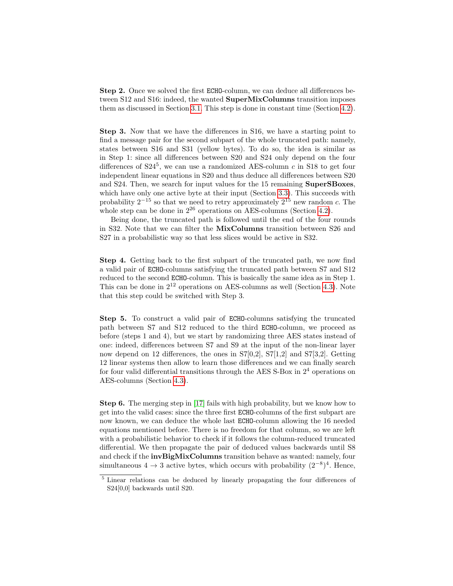Step 2. Once we solved the first ECHO-column, we can deduce all differences between S12 and S16: indeed, the wanted SuperMixColumns transition imposes them as discussed in Section [3.1.](#page-4-1) This step is done in constant time (Section [4.2\)](#page-12-0).

Step 3. Now that we have the differences in S16, we have a starting point to find a message pair for the second subpart of the whole truncated path: namely, states between S16 and S31 (yellow bytes). To do so, the idea is similar as in Step 1: since all differences between S20 and S24 only depend on the four differences of  $S24^5$ , we can use a randomized AES-column c in S18 to get four independent linear equations in S20 and thus deduce all differences between S20 and S24. Then, we search for input values for the 15 remaining SuperSBoxes, which have only one active byte at their input (Section [3.3\)](#page-6-1). This succeeds with probability  $2^{-15}$  so that we need to retry approximately  $2^{15}$  new random c. The whole step can be done in  $2^{26}$  operations on AES-columns (Section [4.2\)](#page-12-0).

Being done, the truncated path is followed until the end of the four rounds in S32. Note that we can filter the MixColumns transition between S26 and S27 in a probabilistic way so that less slices would be active in S32.

Step 4. Getting back to the first subpart of the truncated path, we now find a valid pair of ECHO-columns satisfying the truncated path between S7 and S12 reduced to the second ECHO-column. This is basically the same idea as in Step 1. This can be done in  $2^{12}$  operations on AES-columns as well (Section [4.3\)](#page-15-0). Note that this step could be switched with Step 3.

Step 5. To construct a valid pair of ECHO-columns satisfying the truncated path between S7 and S12 reduced to the third ECHO-column, we proceed as before (steps 1 and 4), but we start by randomizing three AES states instead of one: indeed, differences between S7 and S9 at the input of the non-linear layer now depend on 12 differences, the ones in S7[0,2], S7[1,2] and S7[3,2]. Getting 12 linear systems then allow to learn those differences and we can finally search for four valid differential transitions through the AES S-Box in  $2<sup>4</sup>$  operations on AES-columns (Section [4.3\)](#page-15-0).

Step 6. The merging step in [\[17\]](#page-19-8) fails with high probability, but we know how to get into the valid cases: since the three first ECHO-columns of the first subpart are now known, we can deduce the whole last ECHO-column allowing the 16 needed equations mentioned before. There is no freedom for that column, so we are left with a probabilistic behavior to check if it follows the column-reduced truncated differential. We then propagate the pair of deduced values backwards until S8 and check if the invBigMixColumns transition behave as wanted: namely, four simultaneous  $4 \rightarrow 3$  active bytes, which occurs with probability  $(2^{-8})^4$ . Hence,

 $\overline{\phantom{a}}$ <sup>5</sup> Linear relations can be deduced by linearly propagating the four differences of S24[0,0] backwards until S20.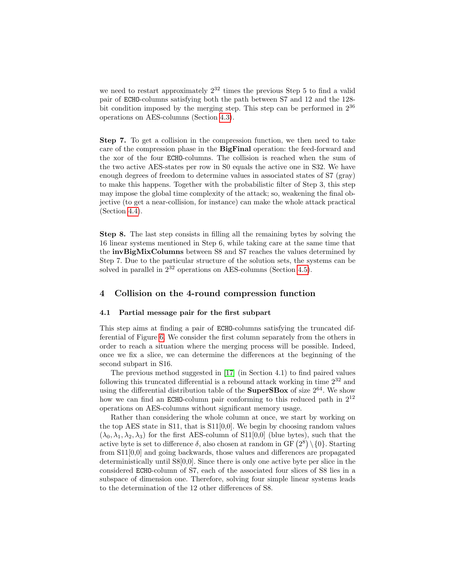we need to restart approximately  $2^{32}$  times the previous Step 5 to find a valid pair of ECHO-columns satisfying both the path between S7 and 12 and the 128 bit condition imposed by the merging step. This step can be performed in  $2^{36}$ operations on AES-columns (Section [4.3\)](#page-15-0).

Step 7. To get a collision in the compression function, we then need to take care of the compression phase in the BigFinal operation: the feed-forward and the xor of the four ECHO-columns. The collision is reached when the sum of the two active AES-states per row in S0 equals the active one in S32. We have enough degrees of freedom to determine values in associated states of S7 (gray) to make this happens. Together with the probabilistic filter of Step 3, this step may impose the global time complexity of the attack; so, weakening the final objective (to get a near-collision, for instance) can make the whole attack practical (Section [4.4\)](#page-15-1).

Step 8. The last step consists in filling all the remaining bytes by solving the 16 linear systems mentioned in Step 6, while taking care at the same time that the invBigMixColumns between S8 and S7 reaches the values determined by Step 7. Due to the particular structure of the solution sets, the systems can be solved in parallel in  $2^{32}$  operations on AES-columns (Section [4.5\)](#page-17-0).

## <span id="page-11-0"></span>4 Collision on the 4-round compression function

#### <span id="page-11-1"></span>4.1 Partial message pair for the first subpart

This step aims at finding a pair of ECHO-columns satisfying the truncated differential of Figure [6.](#page-12-1) We consider the first column separately from the others in order to reach a situation where the merging process will be possible. Indeed, once we fix a slice, we can determine the differences at the beginning of the second subpart in S16.

The previous method suggested in [\[17\]](#page-19-8) (in Section 4.1) to find paired values following this truncated differential is a rebound attack working in time  $2^{32}$  and using the differential distribution table of the **SuperSBox** of size  $2^{64}$ . We show how we can find an ECHO-column pair conforming to this reduced path in  $2^{12}$ operations on AES-columns without significant memory usage.

Rather than considering the whole column at once, we start by working on the top AES state in S11, that is  $S11[0,0]$ . We begin by choosing random values  $(\lambda_0, \lambda_1, \lambda_2, \lambda_3)$  for the first AES-column of S11[0,0] (blue bytes), such that the active byte is set to difference  $\delta$ , also chosen at random in GF  $(2^8) \setminus \{0\}$ . Starting from S11[0,0] and going backwards, those values and differences are propagated deterministically until S8[0,0]. Since there is only one active byte per slice in the considered ECHO-column of S7, each of the associated four slices of S8 lies in a subspace of dimension one. Therefore, solving four simple linear systems leads to the determination of the 12 other differences of S8.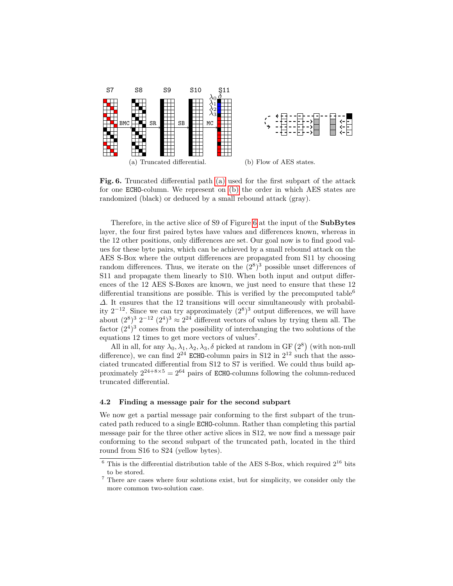<span id="page-12-2"></span>

<span id="page-12-3"></span><span id="page-12-1"></span>Fig. 6. Truncated differential path [\(a\)](#page-12-2) used for the first subpart of the attack for one ECHO-column. We represent on [\(b\)](#page-12-3) the order in which AES states are randomized (black) or deduced by a small rebound attack (gray).

Therefore, in the active slice of S9 of Figure [6](#page-12-1) at the input of the SubBytes layer, the four first paired bytes have values and differences known, whereas in the 12 other positions, only differences are set. Our goal now is to find good values for these byte pairs, which can be achieved by a small rebound attack on the AES S-Box where the output differences are propagated from S11 by choosing random differences. Thus, we iterate on the  $(2^8)^3$  possible unset differences of S11 and propagate them linearly to S10. When both input and output differences of the 12 AES S-Boxes are known, we just need to ensure that these 12 differential transitions are possible. This is verified by the precomputed table<sup>6</sup>  $\Delta$ . It ensures that the 12 transitions will occur simultaneously with probability  $2^{-12}$ . Since we can try approximately  $(2^8)^3$  output differences, we will have about  $(2^8)^3$   $2^{-12}$   $(2^4)^3 \approx 2^{24}$  different vectors of values by trying them all. The factor  $(2^4)^3$  comes from the possibility of interchanging the two solutions of the equations 12 times to get more vectors of values<sup>7</sup>.

All in all, for any  $\lambda_0, \lambda_1, \lambda_2, \lambda_3, \delta$  picked at random in GF  $(2^8)$  (with non-null difference), we can find  $2^{24}$  ECHO-column pairs in S12 in  $2^{12}$  such that the associated truncated differential from S12 to S7 is verified. We could thus build approximately  $2^{24+8\times5} = 2^{64}$  pairs of ECHO-columns following the column-reduced truncated differential.

#### <span id="page-12-0"></span>4.2 Finding a message pair for the second subpart

We now get a partial message pair conforming to the first subpart of the truncated path reduced to a single ECHO-column. Rather than completing this partial message pair for the three other active slices in S12, we now find a message pair conforming to the second subpart of the truncated path, located in the third round from S16 to S24 (yellow bytes).

 $\frac{6}{6}$  This is the differential distribution table of the AES S-Box, which required  $2^{16}$  bits to be stored.

 $^7$  There are cases where four solutions exist, but for simplicity, we consider only the more common two-solution case.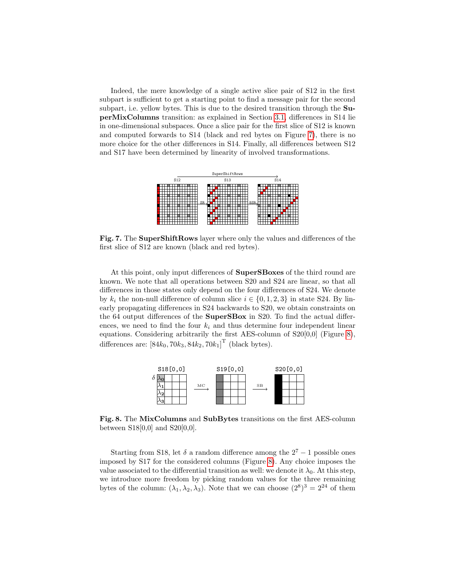Indeed, the mere knowledge of a single active slice pair of S12 in the first subpart is sufficient to get a starting point to find a message pair for the second subpart, i.e. yellow bytes. This is due to the desired transition through the SuperMixColumns transition: as explained in Section [3.1,](#page-4-1) differences in S14 lie in one-dimensional subspaces. Once a slice pair for the first slice of S12 is known and computed forwards to S14 (black and red bytes on Figure [7\)](#page-13-0), there is no more choice for the other differences in S14. Finally, all differences between S12 and S17 have been determined by linearity of involved transformations.



<span id="page-13-0"></span>Fig. 7. The SuperShiftRows layer where only the values and differences of the first slice of S12 are known (black and red bytes).

At this point, only input differences of SuperSBoxes of the third round are known. We note that all operations between S20 and S24 are linear, so that all differences in those states only depend on the four differences of S24. We denote by  $k_i$  the non-null difference of column slice  $i \in \{0, 1, 2, 3\}$  in state S24. By linearly propagating differences in S24 backwards to S20, we obtain constraints on the 64 output differences of the SuperSBox in S20. To find the actual differences, we need to find the four  $k_i$  and thus determine four independent linear equations. Considering arbitrarily the first AES-column of S20[0,0] (Figure [8\)](#page-13-1), differences are:  $[84k_0, 70k_3, 84k_2, 70k_1]^T$  (black bytes).



<span id="page-13-1"></span>Fig. 8. The MixColumns and SubBytes transitions on the first AES-column between  $S18[0,0]$  and  $S20[0,0]$ .

Starting from S18, let  $\delta$  a random difference among the  $2^7 - 1$  possible ones imposed by S17 for the considered columns (Figure [8\)](#page-13-1). Any choice imposes the value associated to the differential transition as well: we denote it  $\lambda_0$ . At this step, we introduce more freedom by picking random values for the three remaining bytes of the column:  $(\lambda_1, \lambda_2, \lambda_3)$ . Note that we can choose  $(2^8)^3 = 2^{24}$  of them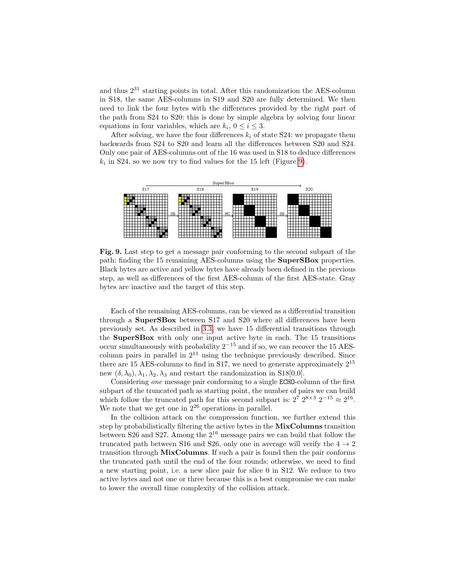and thus 2<sup>31</sup> starting points in total. After this randomization the AES-column in S18, the same AES-columns in S19 and S20 are fully determined. We then need to link the four bytes with the differences provided by the right part of the path from S24 to S20: this is done by simple algebra by solving four linear equations in four variables, which are  $k_i$ ,  $0 \le i \le 3$ .

After solving, we have the four differences  $k_i$  of state S24: we propagate them backwards from S24 to S20 and learn all the differences between S20 and S24. Only one pair of AES-columns out of the 16 was used in S18 to deduce differences  $k_i$  in S24, so we now try to find values for the 15 left (Figure [9\)](#page-14-0).



<span id="page-14-0"></span>Fig. 9. Last step to get a message pair conforming to the second subpart of the path: finding the 15 remaining AES-columns using the SuperSBox properties. Black bytes are active and yellow bytes have already been defined in the previous step, as well as differences of the first AES-column of the first AES-state. Gray bytes are inactive and the target of this step.

Each of the remaining AES-columns, can be viewed as a differential transition through a SuperSBox between S17 and S20 where all differences have been previously set. As described in [3.3,](#page-6-1) we have 15 differential transitions through the SuperSBox with only one input active byte in each. The 15 transitions occur simultaneously with probability  $2^{-15}$  and if so, we can recover the 15 AEScolumn pairs in parallel in  $2^{11}$  using the technique previously described. Since there are 15 AES-columns to find in S17, we need to generate approximately  $2^{15}$ new  $(\delta, \lambda_0), \lambda_1, \lambda_2, \lambda_3$  and restart the randomization in S18[0,0].

Considering one message pair conforming to a single ECHO-column of the first subpart of the truncated path as starting point, the number of pairs we can build which follow the truncated path for this second subpart is:  $2^7 2^{8 \times 3} 2^{-15} \approx 2^{16}$ . We note that we get one in  $2^{26}$  operations in parallel.

In the collision attack on the compression function, we further extend this step by probabilistically filtering the active bytes in the MixColumns transition between S26 and S27. Among the  $2^{16}$  message pairs we can build that follow the truncated path between S16 and S26, only one in average will verify the  $4 \rightarrow 2$ transition through **MixColumns**. If such a pair is found then the pair conforms the truncated path until the end of the four rounds; otherwise, we need to find a new starting point, i.e. a new slice pair for slice 0 in S12. We reduce to two active bytes and not one or three because this is a best compromise we can make to lower the overall time complexity of the collision attack.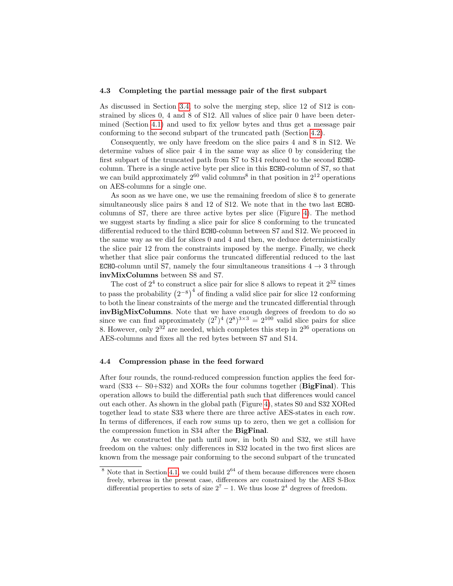#### <span id="page-15-0"></span>4.3 Completing the partial message pair of the first subpart

As discussed in Section [3.4,](#page-8-0) to solve the merging step, slice 12 of S12 is constrained by slices 0, 4 and 8 of S12. All values of slice pair 0 have been determined (Section [4.1\)](#page-11-1) and used to fix yellow bytes and thus get a message pair conforming to the second subpart of the truncated path (Section [4.2\)](#page-12-0).

Consequently, we only have freedom on the slice pairs 4 and 8 in S12. We determine values of slice pair 4 in the same way as slice 0 by considering the first subpart of the truncated path from S7 to S14 reduced to the second ECHOcolumn. There is a single active byte per slice in this ECHO-column of S7, so that we can build approximately  $2^{60}$  valid columns<sup>8</sup> in that position in  $2^{12}$  operations on AES-columns for a single one.

As soon as we have one, we use the remaining freedom of slice 8 to generate simultaneously slice pairs 8 and 12 of S12. We note that in the two last ECHOcolumns of S7, there are three active bytes per slice (Figure [4\)](#page-7-0). The method we suggest starts by finding a slice pair for slice 8 conforming to the truncated differential reduced to the third ECHO-column between S7 and S12. We proceed in the same way as we did for slices 0 and 4 and then, we deduce deterministically the slice pair 12 from the constraints imposed by the merge. Finally, we check whether that slice pair conforms the truncated differential reduced to the last ECHO-column until S7, namely the four simultaneous transitions  $4 \rightarrow 3$  through invMixColumns between S8 and S7.

The cost of  $2^4$  to construct a slice pair for slice 8 allows to repeat it  $2^{32}$  times to pass the probability  $(2^{-8})^4$  of finding a valid slice pair for slice 12 conforming to both the linear constraints of the merge and the truncated differential through invBigMixColumns. Note that we have enough degrees of freedom to do so since we can find approximately  $(2^7)^4 (2^8)^{3 \times 3} = 2^{100}$  valid slice pairs for slice 8. However, only  $2^{32}$  are needed, which completes this step in  $2^{36}$  operations on AES-columns and fixes all the red bytes between S7 and S14.

#### <span id="page-15-1"></span>4.4 Compression phase in the feed forward

After four rounds, the round-reduced compression function applies the feed forward  $(S33 \leftarrow S0 + S32)$  and XORs the four columns together (**BigFinal**). This operation allows to build the differential path such that differences would cancel out each other. As shown in the global path (Figure [4\)](#page-7-0), states S0 and S32 XORed together lead to state S33 where there are three active AES-states in each row. In terms of differences, if each row sums up to zero, then we get a collision for the compression function in S34 after the BigFinal.

As we constructed the path until now, in both S0 and S32, we still have freedom on the values: only differences in S32 located in the two first slices are known from the message pair conforming to the second subpart of the truncated

 $8$  Note that in Section [4.1,](#page-11-1) we could build  $2^{64}$  of them because differences were chosen freely, whereas in the present case, differences are constrained by the AES S-Box differential properties to sets of size  $2^7 - 1$ . We thus loose  $2^4$  degrees of freedom.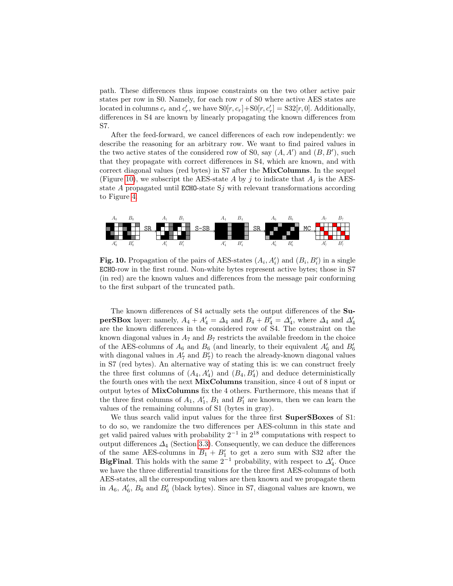path. These differences thus impose constraints on the two other active pair states per row in S0. Namely, for each row r of S0 where active AES states are located in columns  $c_r$  and  $c'_r$ , we have  $\text{SO}[r, c_r] + \text{SO}[r, c'_r] = \text{S32}[r, 0]$ . Additionally, differences in S4 are known by linearly propagating the known differences from S7.

After the feed-forward, we cancel differences of each row independently: we describe the reasoning for an arbitrary row. We want to find paired values in the two active states of the considered row of S0, say  $(A, A')$  and  $(B, B')$ , such that they propagate with correct differences in S4, which are known, and with correct diagonal values (red bytes) in S7 after the MixColumns. In the sequel (Figure [10\)](#page-16-0), we subscript the AES-state A by j to indicate that  $A_j$  is the AESstate A propagated until ECHO-state  $S_i$  with relevant transformations according to Figure [4.](#page-7-0)



<span id="page-16-0"></span>Fig. 10. Propagation of the pairs of AES-states  $(A_i, A'_i)$  and  $(B_i, B'_i)$  in a single ECHO-row in the first round. Non-white bytes represent active bytes; those in S7 (in red) are the known values and differences from the message pair conforming to the first subpart of the truncated path.

The known differences of S4 actually sets the output differences of the Su**perSBox** layer: namely,  $A_4 + A'_4 = \Delta_4$  and  $B_4 + B'_4 = \Delta'_4$ , where  $\Delta_4$  and  $\Delta'_4$ are the known differences in the considered row of S4. The constraint on the known diagonal values in  $A_7$  and  $B_7$  restricts the available freedom in the choice of the AES-columns of  $A_6$  and  $B_6$  (and linearly, to their equivalent  $A'_6$  and  $B'_6$ with diagonal values in  $A'_7$  and  $B'_7$ ) to reach the already-known diagonal values in S7 (red bytes). An alternative way of stating this is: we can construct freely the three first columns of  $(A_4, A'_4)$  and  $(B_4, B'_4)$  and deduce deterministically the fourth ones with the next MixColumns transition, since 4 out of 8 input or output bytes of MixColumns fix the 4 others. Furthermore, this means that if the three first columns of  $A_1$ ,  $A'_1$ ,  $B_1$  and  $B'_1$  are known, then we can learn the values of the remaining columns of S1 (bytes in gray).

We thus search valid input values for the three first **SuperSBoxes** of S1: to do so, we randomize the two differences per AES-column in this state and get valid paired values with probability  $2^{-1}$  in  $2^{18}$  computations with respect to output differences  $\Delta_4$  (Section [3.3\)](#page-6-1). Consequently, we can deduce the differences of the same AES-columns in  $B_1 + B_1'$  to get a zero sum with S32 after the **BigFinal.** This holds with the same  $2^{-1}$  probability, with respect to  $\Delta'_{4}$ . Once we have the three differential transitions for the three first AES-columns of both AES-states, all the corresponding values are then known and we propagate them in  $A_6$ ,  $A'_6$ ,  $B_6$  and  $B'_6$  (black bytes). Since in S7, diagonal values are known, we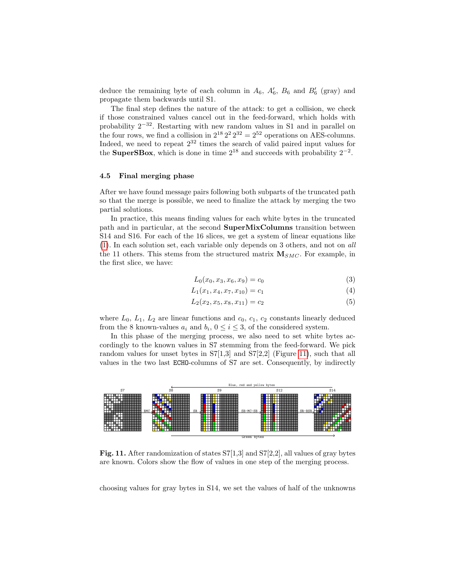deduce the remaining byte of each column in  $A_6$ ,  $A'_6$ ,  $B_6$  and  $B'_6$  (gray) and propagate them backwards until S1.

The final step defines the nature of the attack: to get a collision, we check if those constrained values cancel out in the feed-forward, which holds with probability 2−32. Restarting with new random values in S1 and in parallel on the four rows, we find a collision in  $2^{18} 2^2 2^{32} = 2^{52}$  operations on AES-columns. Indeed, we need to repeat  $2^{32}$  times the search of valid paired input values for the **SuperSBox**, which is done in time  $2^{18}$  and succeeds with probability  $2^{-2}$ .

#### <span id="page-17-0"></span>4.5 Final merging phase

After we have found message pairs following both subparts of the truncated path so that the merge is possible, we need to finalize the attack by merging the two partial solutions.

In practice, this means finding values for each white bytes in the truncated path and in particular, at the second SuperMixColumns transition between S14 and S16. For each of the 16 slices, we get a system of linear equations like [\(1\)](#page-9-0). In each solution set, each variable only depends on 3 others, and not on all the 11 others. This stems from the structured matrix  $M_{SMC}$ . For example, in the first slice, we have:

$$
L_0(x_0, x_3, x_6, x_9) = c_0 \tag{3}
$$

$$
L_1(x_1, x_4, x_7, x_{10}) = c_1 \tag{4}
$$

$$
L_2(x_2, x_5, x_8, x_{11}) = c_2 \tag{5}
$$

where  $L_0$ ,  $L_1$ ,  $L_2$  are linear functions and  $c_0$ ,  $c_1$ ,  $c_2$  constants linearly deduced from the 8 known-values  $a_i$  and  $b_i$ ,  $0 \le i \le 3$ , of the considered system.

In this phase of the merging process, we also need to set white bytes accordingly to the known values in S7 stemming from the feed-forward. We pick random values for unset bytes in S7[1,3] and S7[2,2] (Figure [11\)](#page-17-1), such that all



<span id="page-17-1"></span>Fig. 11. After randomization of states S7[1,3] and S7[2,2], all values of gray bytes are known. Colors show the flow of values in one step of the merging process.

choosing values for gray bytes in S14, we set the values of half of the unknowns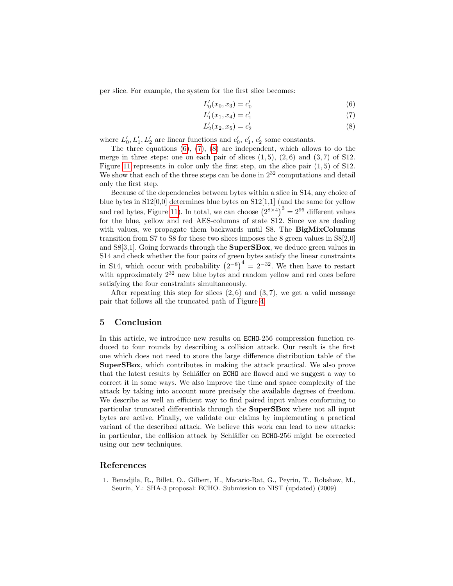per slice. For example, the system for the first slice becomes:

<span id="page-18-3"></span><span id="page-18-2"></span>
$$
L_0'(x_0, x_3) = c_0' \tag{6}
$$

<span id="page-18-4"></span>
$$
L'_1(x_1, x_4) = c'_1 \tag{7}
$$

$$
L_2'(x_2, x_5) = c_2'
$$
 (8)

where  $L'_0, L'_1, L'_2$  are linear functions and  $c'_0, c'_1, c'_2$  some constants.

The three equations  $(6)$ ,  $(7)$ ,  $(8)$  are independent, which allows to do the merge in three steps: one on each pair of slices  $(1, 5)$ ,  $(2, 6)$  and  $(3, 7)$  of S12. Figure [11](#page-17-1) represents in color only the first step, on the slice pair (1, 5) of S12. We show that each of the three steps can be done in  $2^{32}$  computations and detail only the first step.

Because of the dependencies between bytes within a slice in S14, any choice of blue bytes in  $S12[0,0]$  determines blue bytes on  $S12[1,1]$  (and the same for yellow and red bytes, Figure [11\)](#page-17-1). In total, we can choose  $(2^{8\times4})^3 = 2^{96}$  different values for the blue, yellow and red AES-columns of state S12. Since we are dealing with values, we propagate them backwards until S8. The **BigMixColumns** transition from S7 to S8 for these two slices imposes the 8 green values in S8[2,0] and S8[3,1]. Going forwards through the SuperSBox, we deduce green values in S14 and check whether the four pairs of green bytes satisfy the linear constraints in S14, which occur with probability  $(2^{-8})^4 = 2^{-32}$ . We then have to restart with approximately  $2^{32}$  new blue bytes and random yellow and red ones before satisfying the four constraints simultaneously.

After repeating this step for slices  $(2, 6)$  and  $(3, 7)$ , we get a valid message pair that follows all the truncated path of Figure [4.](#page-7-0)

## <span id="page-18-0"></span>5 Conclusion

In this article, we introduce new results on ECHO-256 compression function reduced to four rounds by describing a collision attack. Our result is the first one which does not need to store the large difference distribution table of the SuperSBox, which contributes in making the attack practical. We also prove that the latest results by Schläffer on ECHO are flawed and we suggest a way to correct it in some ways. We also improve the time and space complexity of the attack by taking into account more precisely the available degrees of freedom. We describe as well an efficient way to find paired input values conforming to particular truncated differentials through the SuperSBox where not all input bytes are active. Finally, we validate our claims by implementing a practical variant of the described attack. We believe this work can lead to new attacks: in particular, the collision attack by Schläffer on ECHO-256 might be corrected using our new techniques.

## References

<span id="page-18-1"></span>1. Benadjila, R., Billet, O., Gilbert, H., Macario-Rat, G., Peyrin, T., Robshaw, M., Seurin, Y.: SHA-3 proposal: ECHO. Submission to NIST (updated) (2009)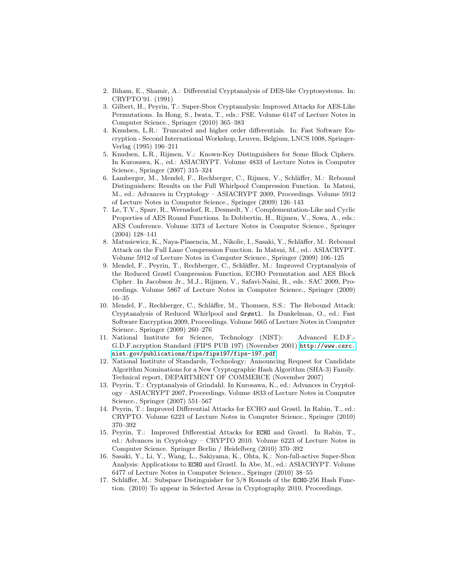- <span id="page-19-1"></span>2. Biham, E., Shamir, A.: Differential Cryptanalysis of DES-like Cryptosystems. In: CRYPTO'91. (1991)
- <span id="page-19-14"></span>3. Gilbert, H., Peyrin, T.: Super-Sbox Cryptanalysis: Improved Attacks for AES-Like Permutations. In Hong, S., Iwata, T., eds.: FSE. Volume 6147 of Lecture Notes in Computer Science., Springer (2010) 365–383
- <span id="page-19-3"></span>4. Knudsen, L.R.: Truncated and higher order differentials. In: Fast Software Encryption - Second International Workshop, Leuven, Belgium, LNCS 1008, Springer-Verlag (1995) 196–211
- <span id="page-19-2"></span>5. Knudsen, L.R., Rijmen, V.: Known-Key Distinguishers for Some Block Ciphers. In Kurosawa, K., ed.: ASIACRYPT. Volume 4833 of Lecture Notes in Computer Science., Springer (2007) 315–324
- <span id="page-19-5"></span>6. Lamberger, M., Mendel, F., Rechberger, C., Rijmen, V., Schläffer, M.: Rebound Distinguishers: Results on the Full Whirlpool Compression Function. In Matsui, M., ed.: Advances in Cryptology – ASIACRYPT 2009, Proceedings. Volume 5912 of Lecture Notes in Computer Science., Springer (2009) 126–143
- <span id="page-19-12"></span>7. Le, T.V., Sparr, R., Wernsdorf, R., Desmedt, Y.: Complementation-Like and Cyclic Properties of AES Round Functions. In Dobbertin, H., Rijmen, V., Sowa, A., eds.: AES Conference. Volume 3373 of Lecture Notes in Computer Science., Springer (2004) 128–141
- <span id="page-19-9"></span>8. Matusiewicz, K., Naya-Plasencia, M., Nikolic, I., Sasaki, Y., Schläffer, M.: Rebound Attack on the Full Lane Compression Function. In Matsui, M., ed.: ASIACRYPT. Volume 5912 of Lecture Notes in Computer Science., Springer (2009) 106–125
- <span id="page-19-7"></span>9. Mendel, F., Peyrin, T., Rechberger, C., Schläffer, M.: Improved Cryptanalysis of the Reduced Grøstl Compression Function, ECHO Permutation and AES Block Cipher. In Jacobson Jr., M.J., Rijmen, V., Safavi-Naini, R., eds.: SAC 2009, Proceedings. Volume 5867 of Lecture Notes in Computer Science., Springer (2009) 16–35
- <span id="page-19-6"></span>10. Mendel, F., Rechberger, C., Schläffer, M., Thomsen, S.S.: The Rebound Attack: Cryptanalysis of Reduced Whirlpool and Grøstl. In Dunkelman, O., ed.: Fast Software Encryption 2009, Proceedings. Volume 5665 of Lecture Notes in Computer Science., Springer (2009) 260–276
- <span id="page-19-13"></span>11. National Institute for Science, Technology (NIST): Advanced E.D.F.- G.D.F.ncryption Standard (FIPS PUB 197) (November 2001) [http://www.csrc.](http://www.csrc.nist.gov/publications/fips/fips197/fips-197.pdf) [nist.gov/publications/fips/fips197/fips-197.pdf](http://www.csrc.nist.gov/publications/fips/fips197/fips-197.pdf).
- <span id="page-19-0"></span>12. National Institute of Standards, Technology: Announcing Request for Candidate Algorithm Nominations for a New Cryptographic Hash Algorithm (SHA-3) Family. Technical report, DEPARTMENT OF COMMERCE (November 2007)
- <span id="page-19-4"></span>13. Peyrin, T.: Cryptanalysis of Grindahl. In Kurosawa, K., ed.: Advances in Cryptology – ASIACRYPT 2007, Proceedings. Volume 4833 of Lecture Notes in Computer Science., Springer (2007) 551–567
- <span id="page-19-11"></span>14. Peyrin, T.: Improved Differential Attacks for ECHO and Grøstl. In Rabin, T., ed.: CRYPTO. Volume 6223 of Lecture Notes in Computer Science., Springer (2010) 370–392
- <span id="page-19-15"></span>15. Peyrin, T.: Improved Differential Attacks for ECHO and Grøstl. In Rabin, T., ed.: Advances in Cryptology – CRYPTO 2010. Volume 6223 of Lecture Notes in Computer Science. Springer Berlin / Heidelberg (2010) 370–392
- <span id="page-19-10"></span>16. Sasaki, Y., Li, Y., Wang, L., Sakiyama, K., Ohta, K.: Non-full-active Super-Sbox Analysis: Applications to ECHO and Grøstl. In Abe, M., ed.: ASIACRYPT. Volume 6477 of Lecture Notes in Computer Science., Springer (2010) 38–55
- <span id="page-19-8"></span>17. Schläffer, M.: Subspace Distinguisher for  $5/8$  Rounds of the ECHO-256 Hash Function. (2010) To appear in Selected Areas in Cryptography 2010, Proceedings.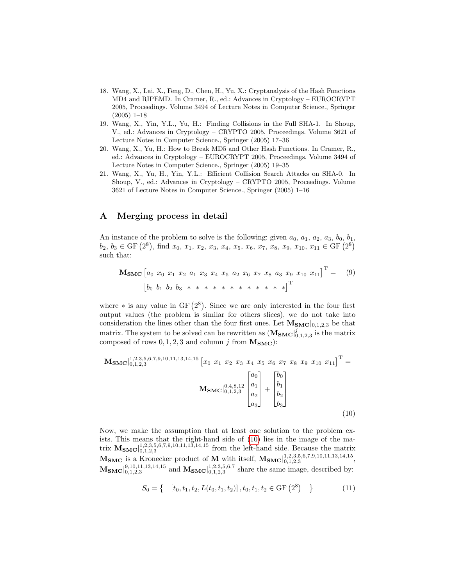- <span id="page-20-0"></span>18. Wang, X., Lai, X., Feng, D., Chen, H., Yu, X.: Cryptanalysis of the Hash Functions MD4 and RIPEMD. In Cramer, R., ed.: Advances in Cryptology – EUROCRYPT 2005, Proceedings. Volume 3494 of Lecture Notes in Computer Science., Springer (2005) 1–18
- <span id="page-20-1"></span>19. Wang, X., Yin, Y.L., Yu, H.: Finding Collisions in the Full SHA-1. In Shoup, V., ed.: Advances in Cryptology – CRYPTO 2005, Proceedings. Volume 3621 of Lecture Notes in Computer Science., Springer (2005) 17–36
- <span id="page-20-2"></span>20. Wang, X., Yu, H.: How to Break MD5 and Other Hash Functions. In Cramer, R., ed.: Advances in Cryptology – EUROCRYPT 2005, Proceedings. Volume 3494 of Lecture Notes in Computer Science., Springer (2005) 19–35
- <span id="page-20-3"></span>21. Wang, X., Yu, H., Yin, Y.L.: Efficient Collision Search Attacks on SHA-0. In Shoup, V., ed.: Advances in Cryptology – CRYPTO 2005, Proceedings. Volume 3621 of Lecture Notes in Computer Science., Springer (2005) 1–16

# <span id="page-20-4"></span>A Merging process in detail

An instance of the problem to solve is the following: given  $a_0, a_1, a_2, a_3, b_0, b_1$ ,  $b_2, b_3 \in \text{GF } (2^8)$ , find  $x_0, x_1, x_2, x_3, x_4, x_5, x_6, x_7, x_8, x_9, x_{10}, x_{11} \in \text{GF } (2^8)$ such that:

 $\mathbf{M_{SMC}} \begin{bmatrix} a_0 & x_0 & x_1 & x_2 & a_1 & x_3 & x_4 & x_5 & a_2 & x_6 & x_7 & x_8 & a_3 & x_9 & x_{10} & x_{11} \end{bmatrix}^\mathrm{T}$ = (9)  $\begin{bmatrix} b_0 & b_1 & b_2 & b_3 & * & * & * & * & * & * & * & * & * \end{bmatrix}^T$ 

where  $*$  is any value in GF  $(2^8)$ . Since we are only interested in the four first output values (the problem is similar for others slices), we do not take into consideration the lines other than the four first ones. Let  $M_{SMC}|_{0,1,2,3}$  be that matrix. The system to be solved can be rewritten as  $(\mathbf{M_{SMC}}|_{0,1,2,3}^{j})$  is the matrix composed of rows  $0, 1, 2, 3$  and column j from  $M_{SMC}$ ):

$$
\mathbf{M}_{\mathbf{SMC}}\Big|_{0,1,2,3}^{1,2,3,5,6,7,9,10,11,13,14,15} \left[ x_0 \ x_1 \ x_2 \ x_3 \ x_4 \ x_5 \ x_6 \ x_7 \ x_8 \ x_9 \ x_{10} \ x_{11} \right]^{T} =
$$
\n
$$
\mathbf{M}_{\mathbf{SMC}}\Big|_{0,1,2,3}^{0,4,8,12} \begin{bmatrix} a_0 \\ a_1 \\ a_2 \\ a_3 \end{bmatrix} + \begin{bmatrix} b_0 \\ b_1 \\ b_2 \\ b_3 \end{bmatrix}
$$
\n
$$
(10)
$$

Now, we make the assumption that at least one solution to the problem exists. This means that the right-hand side of [\(10\)](#page-20-5) lies in the image of the matrix  $M_{SMC}|_{0,1,2,3}^{1,2,3,5,6,7,9,10,11,13,14,15}$  from the left-hand side. Because the matrix  $M_{SMC}$  is a Kronecker product of M with itself,  $M_{SMC}|_{0,1,2,3}^{1,2,3,5,6,7,9,10,11,13,14,15}$ ,  $M_{\text{SMC}}|_{0,1,2,3}^{9,10,11,13,14,15}$  and  $M_{\text{SMC}}|_{0,1,2,3}^{1,2,3,5,6,7}$  share the same image, described by:

<span id="page-20-5"></span>
$$
S_0 = \left\{ \begin{array}{c} [t_0, t_1, t_2, L(t_0, t_1, t_2)], t_0, t_1, t_2 \in \text{GF}(2^8) \end{array} \right\} \tag{11}
$$